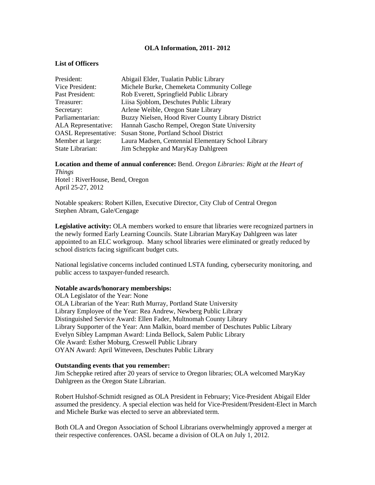## **OLA Information, 2011- 2012**

## **List of Officers**

| President:                  | Abigail Elder, Tualatin Public Library             |
|-----------------------------|----------------------------------------------------|
| Vice President:             | Michele Burke, Chemeketa Community College         |
| Past President:             | Rob Everett, Springfield Public Library            |
| Treasurer:                  | Liisa Sjoblom, Deschutes Public Library            |
| Secretary:                  | Arlene Weible, Oregon State Library                |
| Parliamentarian:            | Buzzy Nielsen, Hood River County Library District  |
| ALA Representative:         | Hannah Gascho Rempel, Oregon State University      |
| <b>OASL Representative:</b> | Susan Stone, Portland School District              |
| Member at large:            | Laura Madsen, Centennial Elementary School Library |
| State Librarian:            | Jim Scheppke and MaryKay Dahlgreen                 |

**Location and theme of annual conference:** Bend. *Oregon Libraries: Right at the Heart of Things*

Hotel : RiverHouse, Bend, Oregon April 25-27, 2012

Notable speakers: Robert Killen, Executive Director, City Club of Central Oregon Stephen Abram, Gale/Cengage

**Legislative activity:** OLA members worked to ensure that libraries were recognized partners in the newly formed Early Learning Councils. State Librarian MaryKay Dahlgreen was later appointed to an ELC workgroup. Many school libraries were eliminated or greatly reduced by school districts facing significant budget cuts.

National legislative concerns included continued LSTA funding, cybersecurity monitoring, and public access to taxpayer-funded research.

## **Notable awards/honorary memberships:**

OLA Legislator of the Year: None OLA Librarian of the Year: Ruth Murray, Portland State University Library Employee of the Year: Rea Andrew, Newberg Public Library Distinguished Service Award: Ellen Fader, Multnomah County Library Library Supporter of the Year: Ann Malkin, board member of Deschutes Public Library Evelyn Sibley Lampman Award: Linda Bellock, Salem Public Library Ole Award: Esther Moburg, Creswell Public Library OYAN Award: April Witteveen, Deschutes Public Library

## **Outstanding events that you remember:**

Jim Scheppke retired after 20 years of service to Oregon libraries; OLA welcomed MaryKay Dahlgreen as the Oregon State Librarian.

Robert Hulshof-Schmidt resigned as OLA President in February; Vice-President Abigail Elder assumed the presidency. A special election was held for Vice-President/President-Elect in March and Michele Burke was elected to serve an abbreviated term.

Both OLA and Oregon Association of School Librarians overwhelmingly approved a merger at their respective conferences. OASL became a division of OLA on July 1, 2012.